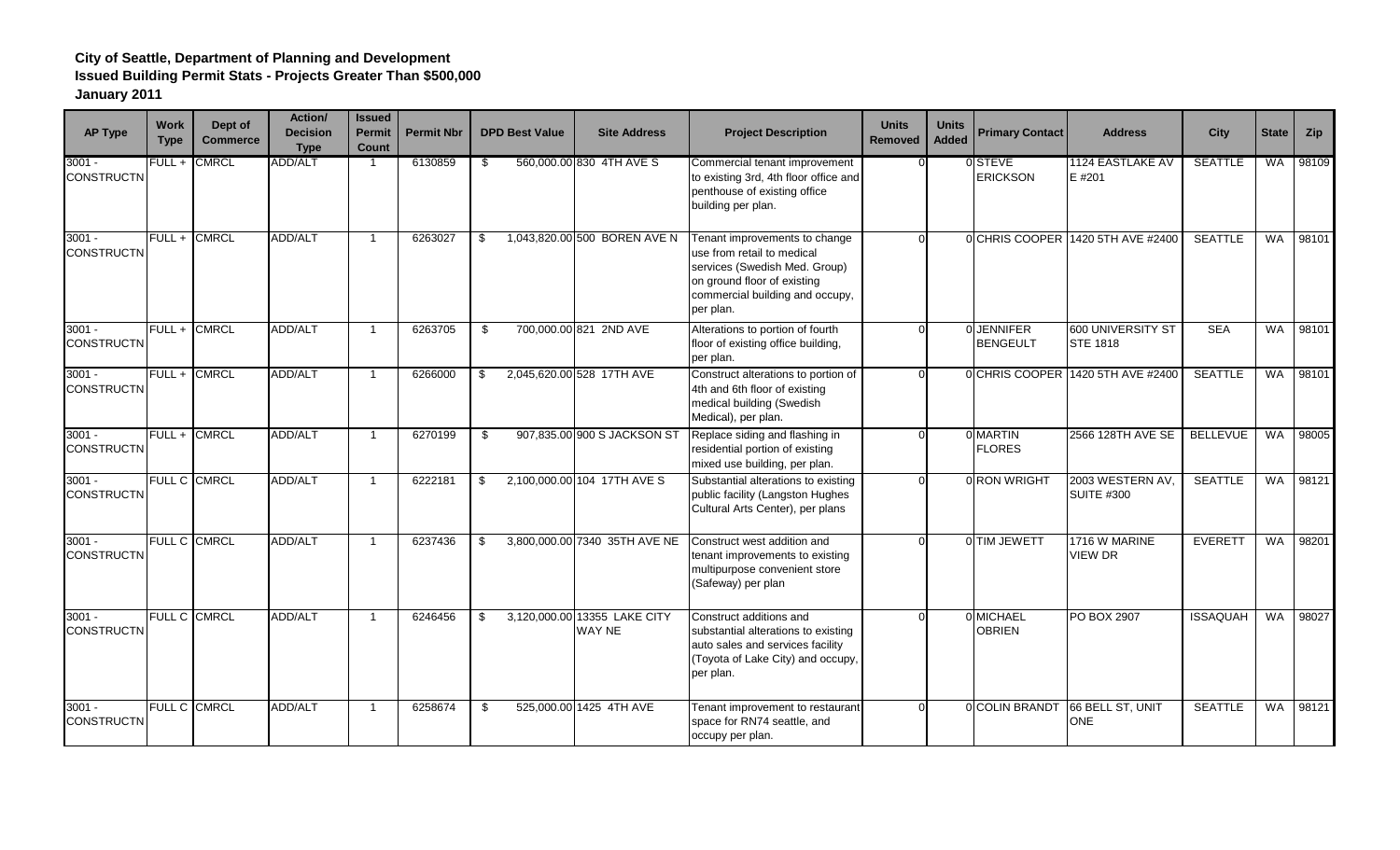| <b>AP Type</b>                | <b>Work</b><br><b>Type</b> | Dept of<br><b>Commerce</b> | Action/<br><b>Decision</b><br><b>Type</b> | <b>Issued</b><br><b>Permit</b><br>Count | <b>Permit Nbr</b> |      | <b>DPD Best Value</b> | <b>Site Address</b>                    | <b>Project Description</b>                                                                                                                                                  | <b>Units</b><br>Removed | <b>Units</b><br><b>Added</b> | <b>Primary Contact</b>              | <b>Address</b>                              | <b>City</b>     | <b>State</b> | Zip   |
|-------------------------------|----------------------------|----------------------------|-------------------------------------------|-----------------------------------------|-------------------|------|-----------------------|----------------------------------------|-----------------------------------------------------------------------------------------------------------------------------------------------------------------------------|-------------------------|------------------------------|-------------------------------------|---------------------------------------------|-----------------|--------------|-------|
| $3001 -$<br><b>CONSTRUCTN</b> | FULL +                     | <b>CMRCL</b>               | <b>ADD/ALT</b>                            | $\mathbf{1}$                            | 6130859           | \$   |                       | 560,000.00 830 4TH AVE S               | Commercial tenant improvement<br>to existing 3rd, 4th floor office and<br>penthouse of existing office<br>building per plan.                                                |                         |                              | 0 STEVE<br><b>ERICKSON</b>          | 1124 EASTLAKE AV<br>E #201                  | <b>SEATTLE</b>  | <b>WA</b>    | 98109 |
| $3001 -$<br><b>CONSTRUCTN</b> | $FULL +$                   | <b>CMRCL</b>               | ADD/ALT                                   | $\mathbf{1}$                            | 6263027           | \$   |                       | 1,043,820.00 500 BOREN AVE N           | Tenant improvements to change<br>use from retail to medical<br>services (Swedish Med. Group)<br>on ground floor of existing<br>commercial building and occupy,<br>per plan. | $\Omega$                |                              |                                     | OCHRIS COOPER 1420 5TH AVE #2400            | <b>SEATTLE</b>  | <b>WA</b>    | 98101 |
| $3001 -$<br><b>CONSTRUCTN</b> |                            | FULL + CMRCL               | ADD/ALT                                   | $\mathbf{1}$                            | 6263705           | -\$  |                       | 700,000.00 821 2ND AVE                 | Alterations to portion of fourth<br>floor of existing office building,<br>per plan.                                                                                         |                         |                              | <b>OUENNIFER</b><br><b>BENGEULT</b> | <b>600 UNIVERSITY ST</b><br><b>STE 1818</b> | <b>SEA</b>      | <b>WA</b>    | 98101 |
| $3001 -$<br><b>CONSTRUCTN</b> |                            | FULL + CMRCL               | ADD/ALT                                   | $\mathbf{1}$                            | 6266000           | -\$  |                       | 2,045,620.00 528 17TH AVE              | Construct alterations to portion of<br>4th and 6th floor of existing<br>medical building (Swedish<br>Medical), per plan.                                                    | $\Omega$                |                              |                                     | 0 CHRIS COOPER 1420 5TH AVE #2400           | <b>SEATTLE</b>  | <b>WA</b>    | 98101 |
| $3001 -$<br><b>CONSTRUCTN</b> | FULL +                     | <b>CMRCL</b>               | ADD/ALT                                   | $\overline{\mathbf{1}}$                 | 6270199           | \$   |                       | 907,835.00 900 S JACKSON ST            | Replace siding and flashing in<br>residential portion of existing<br>mixed use building, per plan.                                                                          |                         |                              | 0 MARTIN<br><b>FLORES</b>           | 2566 128TH AVE SE                           | <b>BELLEVUE</b> | <b>WA</b>    | 98005 |
| $3001 -$<br><b>CONSTRUCTN</b> |                            | FULL C CMRCL               | ADD/ALT                                   | $\overline{1}$                          | 6222181           | - \$ |                       | 2,100,000.00 104 17TH AVE S            | Substantial alterations to existing<br>public facility (Langston Hughes<br>Cultural Arts Center), per plans                                                                 | <sup>0</sup>            |                              | 0 RON WRIGHT                        | 2003 WESTERN AV,<br><b>SUITE #300</b>       | <b>SEATTLE</b>  | <b>WA</b>    | 98121 |
| $3001 -$<br><b>CONSTRUCTN</b> |                            | FULL C CMRCL               | ADD/ALT                                   | $\mathbf{1}$                            | 6237436           | \$   |                       | 3,800,000.00 7340 35TH AVE NE          | Construct west addition and<br>tenant improvements to existing<br>multipurpose convenient store<br>(Safeway) per plan                                                       | $\Omega$                |                              | 0 TIM JEWETT                        | 1716 W MARINE<br><b>VIEW DR</b>             | <b>EVERETT</b>  | WA           | 98201 |
| $3001 -$<br><b>CONSTRUCTN</b> |                            | FULL C CMRCL               | ADD/ALT                                   | $\mathbf{1}$                            | 6246456           | -\$  |                       | 3,120,000.00 13355 LAKE CITY<br>WAY NE | Construct additions and<br>substantial alterations to existing<br>auto sales and services facility<br>(Toyota of Lake City) and occupy,<br>per plan.                        | <sup>0</sup>            |                              | 0 MICHAEL<br><b>OBRIEN</b>          | PO BOX 2907                                 | <b>ISSAQUAH</b> | <b>WA</b>    | 98027 |
| $3001 -$<br><b>CONSTRUCTN</b> |                            | <b>FULL C CMRCL</b>        | ADD/ALT                                   | -1                                      | 6258674           | - \$ |                       | 525,000.00 1425 4TH AVE                | Tenant improvement to restaurant<br>space for RN74 seattle, and<br>occupy per plan.                                                                                         |                         |                              | 0 COLIN BRANDT                      | 66 BELL ST. UNIT<br><b>ONE</b>              | <b>SEATTLE</b>  | <b>WA</b>    | 98121 |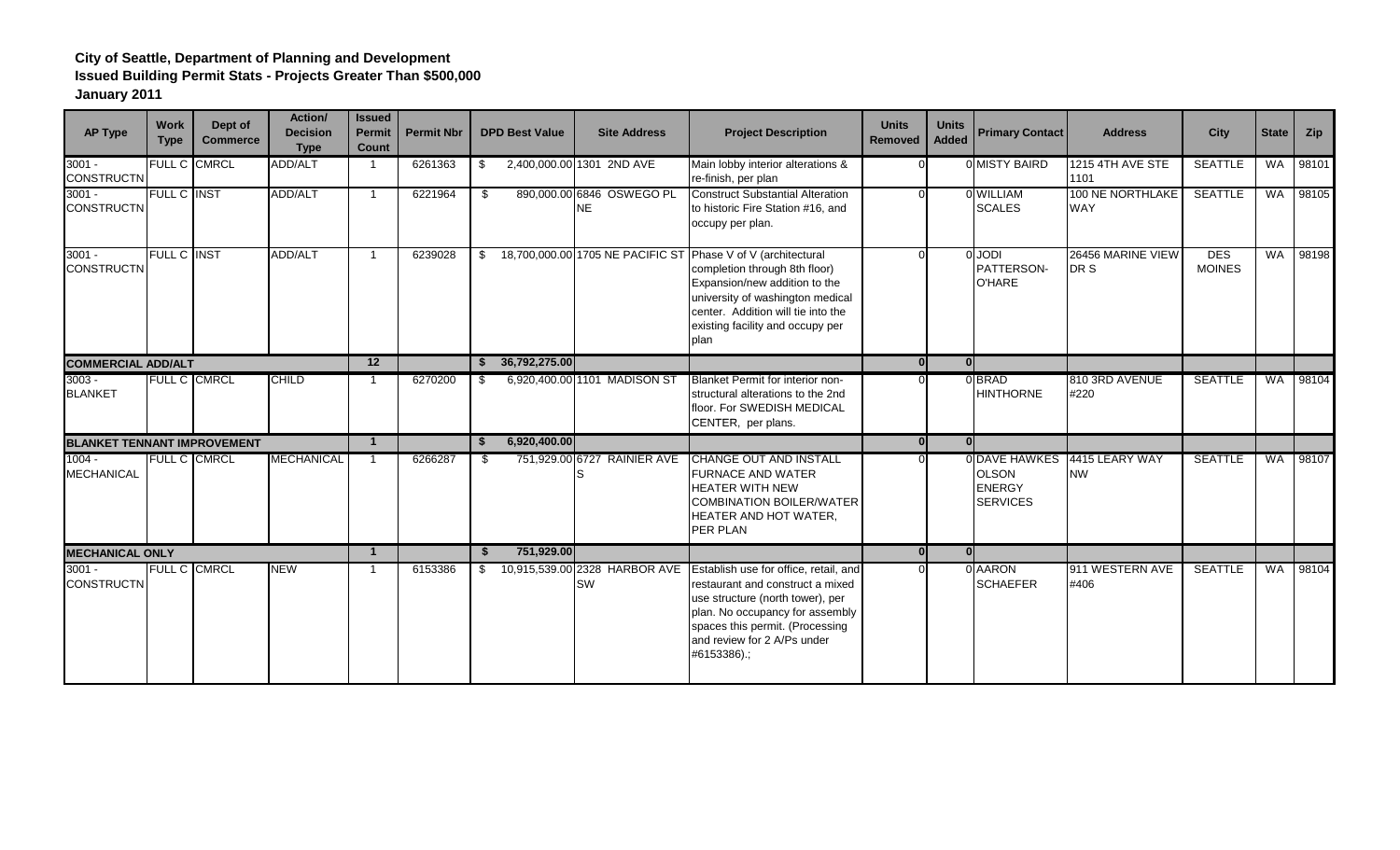| <b>AP Type</b>                     | <b>Work</b><br><b>Type</b> | Dept of<br><b>Commerce</b> | Action/<br><b>Decision</b><br><b>Type</b> | <b>Issued</b><br><b>Permit</b><br><b>Count</b> | <b>Permit Nbr</b> | <b>DPD Best Value</b>  | <b>Site Address</b>                    | <b>Project Description</b>                                                                                                                                                                                                                                      | <b>Units</b><br><b>Removed</b> | <b>Units</b><br><b>Added</b> | <b>Primary Contact</b>                                            | <b>Address</b>                 | <b>City</b>                 | <b>State</b> | Zip   |
|------------------------------------|----------------------------|----------------------------|-------------------------------------------|------------------------------------------------|-------------------|------------------------|----------------------------------------|-----------------------------------------------------------------------------------------------------------------------------------------------------------------------------------------------------------------------------------------------------------------|--------------------------------|------------------------------|-------------------------------------------------------------------|--------------------------------|-----------------------------|--------------|-------|
| $3001 -$<br><b>CONSTRUCTN</b>      |                            | FULL C CMRCL               | ADD/ALT                                   | $\overline{1}$                                 | 6261363           | \$                     | 2,400,000.00 1301 2ND AVE              | Main lobby interior alterations &<br>re-finish, per plan                                                                                                                                                                                                        |                                |                              | 0 MISTY BAIRD                                                     | 1215 4TH AVE STE<br>1101       | <b>SEATTLE</b>              | WA           | 98101 |
| $3001 -$<br><b>CONSTRUCTN</b>      | <b>FULL C INST</b>         |                            | ADD/ALT                                   | $\overline{1}$                                 | 6221964           | \$                     | 890,000.00 6846 OSWEGO PL<br><b>NE</b> | <b>Construct Substantial Alteration</b><br>to historic Fire Station #16, and<br>occupy per plan.                                                                                                                                                                |                                |                              | 0 WILLIAM<br><b>SCALES</b>                                        | 100 NE NORTHLAKE<br><b>WAY</b> | <b>SEATTLE</b>              | <b>WA</b>    | 98105 |
| $3001 -$<br><b>CONSTRUCTN</b>      | FULL C INST                |                            | <b>ADD/ALT</b>                            | $\overline{1}$                                 | 6239028           | \$                     |                                        | 18,700,000.00 1705 NE PACIFIC ST Phase V of V (architectural<br>completion through 8th floor)<br>Expansion/new addition to the<br>university of washington medical<br>center. Addition will tie into the<br>existing facility and occupy per<br>plan            |                                |                              | <b>IGOL</b><br>PATTERSON-<br><b>O'HARE</b>                        | 26456 MARINE VIEW<br>DR S      | <b>DES</b><br><b>MOINES</b> | WA           | 98198 |
| <b>COMMERCIAL ADD/ALT</b>          |                            |                            |                                           | $\overline{12}$                                |                   | 36,792,275.00          |                                        |                                                                                                                                                                                                                                                                 | $\overline{0}$                 | 0                            |                                                                   |                                |                             |              |       |
| $3003 -$<br><b>BLANKET</b>         |                            | FULL C CMRCL               | <b>CHILD</b>                              | $\overline{1}$                                 | 6270200           | - \$                   | 6,920,400.00 1101 MADISON ST           | <b>Blanket Permit for interior non-</b><br>structural alterations to the 2nd<br>floor. For SWEDISH MEDICAL<br>CENTER, per plans.                                                                                                                                |                                |                              | 0BRAD<br><b>HINTHORNE</b>                                         | 810 3RD AVENUE<br>#220         | <b>SEATTLE</b>              | <b>WA</b>    | 98104 |
| <b>BLANKET TENNANT IMPROVEMENT</b> |                            |                            |                                           | $\mathbf{1}$                                   |                   | 6,920,400.00<br>- \$   |                                        |                                                                                                                                                                                                                                                                 | 0l                             | $\Omega$                     |                                                                   |                                |                             |              |       |
| $1004 -$<br><b>MECHANICAL</b>      |                            | FULL C CMRCL               | <b>MECHANICAL</b>                         | $\overline{1}$                                 | 6266287           | -S                     | 751,929.00 6727 RAINIER AVE<br>IS      | CHANGE OUT AND INSTALL<br><b>FURNACE AND WATER</b><br><b>HEATER WITH NEW</b><br><b>COMBINATION BOILER/WATER</b><br>HEATER AND HOT WATER,<br>PER PLAN                                                                                                            |                                |                              | 0 DAVE HAWKES<br><b>OLSON</b><br><b>ENERGY</b><br><b>SERVICES</b> | 4415 LEARY WAY<br><b>NW</b>    | <b>SEATTLE</b>              | WA           | 98107 |
| <b>MECHANICAL ONLY</b>             |                            |                            |                                           | $\mathbf{1}$                                   |                   | 751,929.00<br><b>S</b> |                                        |                                                                                                                                                                                                                                                                 | $\mathbf{0}$                   | 0 <sup>l</sup>               |                                                                   |                                |                             |              |       |
| $3001 -$<br><b>CONSTRUCTN</b>      |                            | <b>FULL C CMRCL</b>        | <b>NEW</b>                                | -1                                             | 6153386           | - \$                   | SW                                     | 10,915,539.00 2328 HARBOR AVE Establish use for office, retail, and<br>restaurant and construct a mixed<br>use structure (north tower), per<br>plan. No occupancy for assembly<br>spaces this permit. (Processing<br>and review for 2 A/Ps under<br>#6153386).; |                                |                              | 0 AARON<br><b>SCHAEFER</b>                                        | 911 WESTERN AVE<br>#406        | <b>SEATTLE</b>              | <b>WA</b>    | 98104 |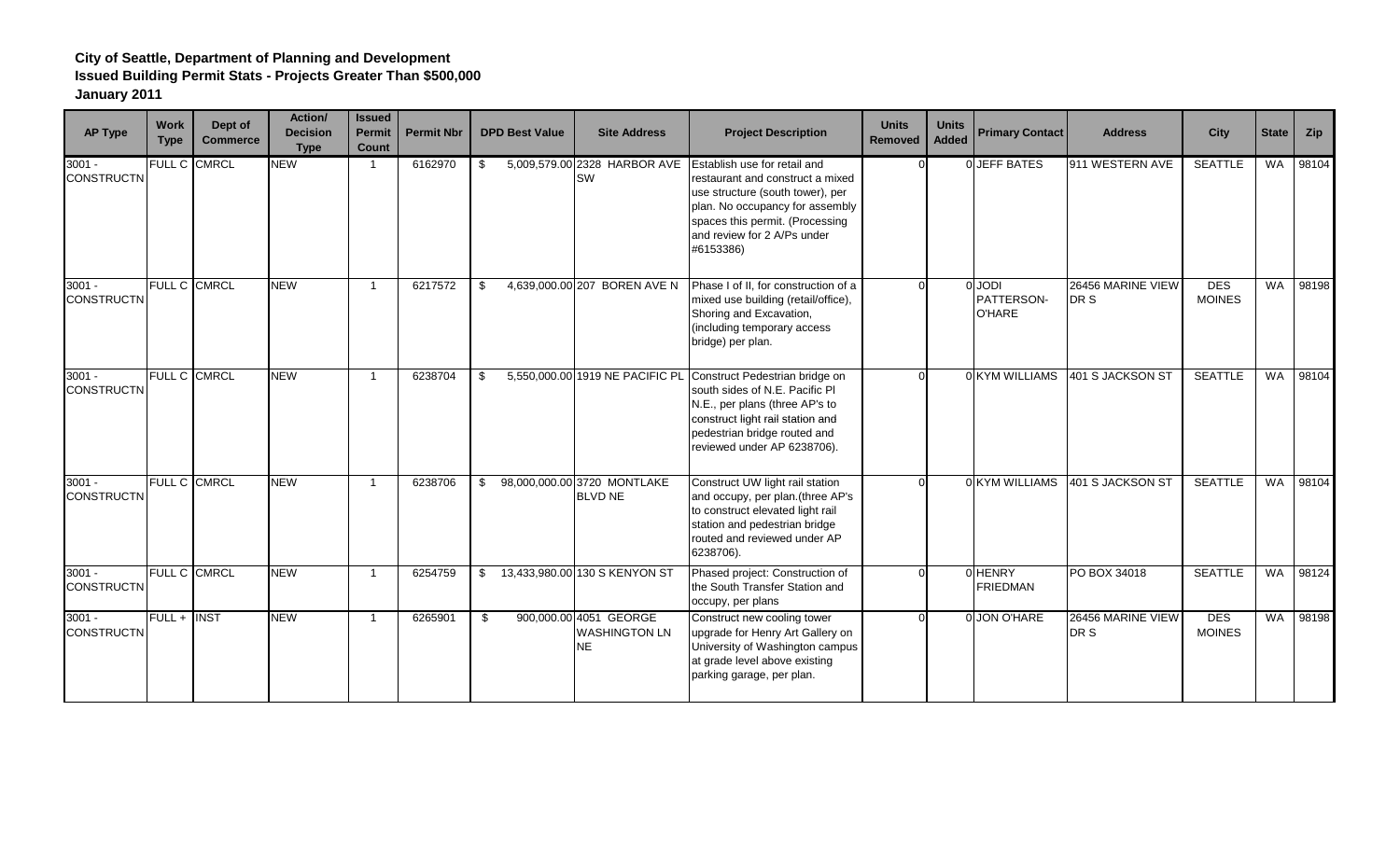| <b>AP Type</b>                | <b>Work</b><br><b>Type</b> | Dept of<br><b>Commerce</b> | Action/<br><b>Decision</b><br><b>Type</b> | <b>Issued</b><br><b>Permit</b><br><b>Count</b> | <b>Permit Nbr</b> | <b>DPD Best Value</b> | <b>Site Address</b>                                         | <b>Project Description</b>                                                                                                                                                                                             | <b>Units</b><br>Removed | <b>Units</b><br><b>Added</b> | <b>Primary Contact</b>                     | <b>Address</b>            | <b>City</b>                 | <b>State</b> | Zip   |
|-------------------------------|----------------------------|----------------------------|-------------------------------------------|------------------------------------------------|-------------------|-----------------------|-------------------------------------------------------------|------------------------------------------------------------------------------------------------------------------------------------------------------------------------------------------------------------------------|-------------------------|------------------------------|--------------------------------------------|---------------------------|-----------------------------|--------------|-------|
| $3001 -$<br><b>CONSTRUCTN</b> | FULL C CMRCL               |                            | <b>NEW</b>                                | $\overline{1}$                                 | 6162970           | \$                    | 5,009,579.00 2328 HARBOR AVE<br><b>SW</b>                   | Establish use for retail and<br>restaurant and construct a mixed<br>use structure (south tower), per<br>plan. No occupancy for assembly<br>spaces this permit. (Processing<br>and review for 2 A/Ps under<br>#6153386) |                         |                              | 0 JEFF BATES                               | 911 WESTERN AVE           | SEATTLE                     | WA           | 98104 |
| $3001 -$<br><b>CONSTRUCTN</b> | FULL C CMRCL               |                            | NEW                                       | $\overline{1}$                                 | 6217572           | -\$                   | 4,639,000.00 207 BOREN AVE N                                | Phase I of II, for construction of a<br>mixed use building (retail/office),<br>Shoring and Excavation,<br>(including temporary access<br>bridge) per plan.                                                             |                         |                              | <b>IQOL</b><br>PATTERSON-<br><b>O'HARE</b> | 26456 MARINE VIEW<br>DR S | <b>DES</b><br><b>MOINES</b> | <b>WA</b>    | 98198 |
| $3001 -$<br><b>CONSTRUCTN</b> | FULL C CMRCL               |                            | <b>NEW</b>                                | $\overline{1}$                                 | 6238704           | -\$                   | 5,550,000.00 1919 NE PACIFIC PL                             | Construct Pedestrian bridge on<br>south sides of N.E. Pacific PI<br>N.E., per plans (three AP's to<br>construct light rail station and<br>pedestrian bridge routed and<br>reviewed under AP 6238706).                  |                         |                              | 0 KYM WILLIAMS                             | 401 S JACKSON ST          | <b>SEATTLE</b>              | <b>WA</b>    | 98104 |
| $3001 -$<br><b>CONSTRUCTN</b> | FULL C CMRCL               |                            | <b>NEW</b>                                | $\overline{\mathbf{1}}$                        | 6238706           | \$                    | 98,000,000.00 3720 MONTLAKE<br><b>BLVD NE</b>               | Construct UW light rail station<br>and occupy, per plan.(three AP's<br>to construct elevated light rail<br>station and pedestrian bridge<br>routed and reviewed under AP<br>6238706).                                  |                         |                              | 0 KYM WILLIAMS                             | 401 S JACKSON ST          | SEATTLE                     | WA           | 98104 |
| $3001 -$<br><b>CONSTRUCTN</b> | FULL C CMRCL               |                            | <b>NEW</b>                                | - 1                                            | 6254759           | \$                    | 13,433,980.00 130 S KENYON ST                               | Phased project: Construction of<br>the South Transfer Station and<br>occupy, per plans                                                                                                                                 |                         |                              | <b>OHENRY</b><br><b>FRIEDMAN</b>           | PO BOX 34018              | <b>SEATTLE</b>              | <b>WA</b>    | 98124 |
| $3001 -$<br><b>CONSTRUCTN</b> | $FULL +$                   | <b>INST</b>                | NEW                                       | $\overline{1}$                                 | 6265901           | -S                    | 900,000.00 4051 GEORGE<br><b>WASHINGTON LN</b><br><b>NE</b> | Construct new cooling tower<br>upgrade for Henry Art Gallery on<br>University of Washington campus<br>at grade level above existing<br>parking garage, per plan.                                                       |                         |                              | 0 JON O'HARE                               | 26456 MARINE VIEW<br>DR S | <b>DES</b><br><b>MOINES</b> | <b>WA</b>    | 98198 |